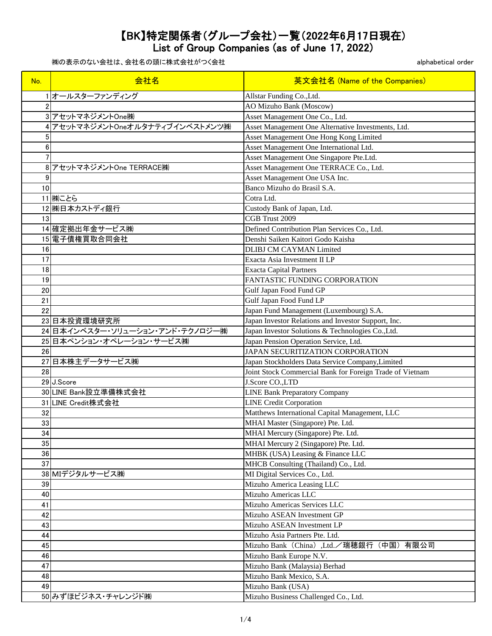List of Group Companies (as of June 17, 2022)

| No.            | 会社名                               | 英文会社名 (Name of the Companies)                            |
|----------------|-----------------------------------|----------------------------------------------------------|
|                | 1オールスターファンディング                    | Allstar Funding Co., Ltd.                                |
| $\overline{2}$ |                                   | <b>AO Mizuho Bank (Moscow)</b>                           |
|                | 3 アセットマネジメントOne(株)                | Asset Management One Co., Ltd.                           |
|                | 4 アセットマネジメントOneオルタナティブインベストメンツ(株) | Asset Management One Alternative Investments, Ltd.       |
| 5              |                                   | Asset Management One Hong Kong Limited                   |
| 6              |                                   | Asset Management One International Ltd.                  |
| 7              |                                   | Asset Management One Singapore Pte.Ltd.                  |
|                | 8 アセットマネジメントOne TERRACE(株)        | Asset Management One TERRACE Co., Ltd.                   |
| 9              |                                   | Asset Management One USA Inc.                            |
| 10             |                                   | Banco Mizuho do Brasil S.A.                              |
|                | 11 (株)ことら                         | Cotra Ltd.                                               |
|                | 12 (株)日本カストディ銀行                   | Custody Bank of Japan, Ltd.                              |
| 13             |                                   | CGB Trust 2009                                           |
|                | 14 確定拠出年金サービス(株)                  | Defined Contribution Plan Services Co., Ltd.             |
|                | 15 電子債権買取合同会社                     | Denshi Saiken Kaitori Godo Kaisha                        |
| 16             |                                   | <b>DLIBJ CM CAYMAN Limited</b>                           |
| 17             |                                   | Exacta Asia Investment II LP                             |
| 18             |                                   | <b>Exacta Capital Partners</b>                           |
| 19             |                                   | <b>FANTASTIC FUNDING CORPORATION</b>                     |
| 20             |                                   | Gulf Japan Food Fund GP                                  |
| 21             |                                   | Gulf Japan Food Fund LP                                  |
| 22             |                                   | Japan Fund Management (Luxembourg) S.A.                  |
|                | 23日本投資環境研究所                       | Japan Investor Relations and Investor Support, Inc.      |
|                | 24 日本インベスター・ソリューション・アンド・テクノロジー㈱   | Japan Investor Solutions & Technologies Co., Ltd.        |
|                | 25日本ペンション・オペレーション・サービス㈱           | Japan Pension Operation Service, Ltd.                    |
| 26             |                                   | JAPAN SECURITIZATION CORPORATION                         |
|                | 27日本株主データサービス(株)                  | Japan Stockholders Data Service Company, Limited         |
| 28             |                                   | Joint Stock Commercial Bank for Foreign Trade of Vietnam |
|                | 29 J.Score                        | J.Score CO.,LTD                                          |
|                | 30 LINE Bank設立準備株式会社              | <b>LINE Bank Preparatory Company</b>                     |
|                | 31 LINE Credit株式会社                | <b>LINE Credit Corporation</b>                           |
| 32             |                                   | Matthews International Capital Management, LLC           |
| 33             |                                   | MHAI Master (Singapore) Pte. Ltd.                        |
| 34             |                                   | MHAI Mercury (Singapore) Pte. Ltd.                       |
| 35             |                                   | MHAI Mercury 2 (Singapore) Pte. Ltd.                     |
| 36             |                                   | MHBK (USA) Leasing & Finance LLC                         |
| 37             |                                   | MHCB Consulting (Thailand) Co., Ltd.                     |
|                | 38 MIデジタルサービス(株)                  | MI Digital Services Co., Ltd.                            |
| 39             |                                   | Mizuho America Leasing LLC                               |
| 40             |                                   | Mizuho Americas LLC                                      |
| 41             |                                   | Mizuho Americas Services LLC                             |
| 42             |                                   | Mizuho ASEAN Investment GP                               |
| 43             |                                   | Mizuho ASEAN Investment LP                               |
| 44             |                                   | Mizuho Asia Partners Pte. Ltd.                           |
| 45             |                                   | Mizuho Bank(China),Ltd./瑞穂銀行(中国)有限公司                     |
| 46             |                                   | Mizuho Bank Europe N.V.                                  |
| 47             |                                   | Mizuho Bank (Malaysia) Berhad                            |
| 48             |                                   | Mizuho Bank Mexico, S.A.                                 |
| 49             |                                   | Mizuho Bank (USA)                                        |
|                | 50 みずほビジネス・チャレンジド(株)              | Mizuho Business Challenged Co., Ltd.                     |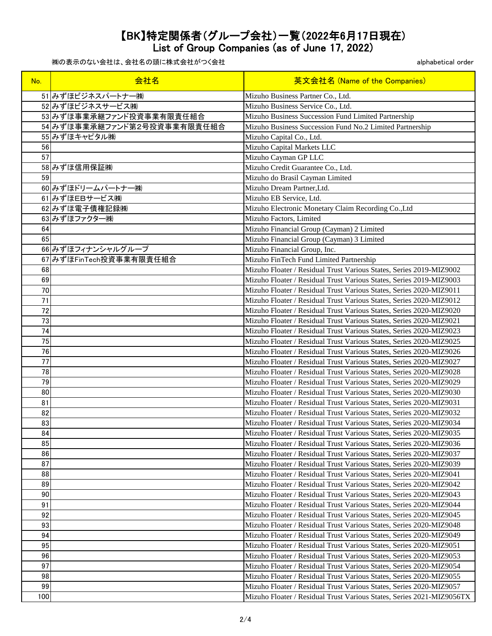List of Group Companies (as of June 17, 2022)

| No.      | 会社名                         | 英文会社名 (Name of the Companies)                                                                                                              |
|----------|-----------------------------|--------------------------------------------------------------------------------------------------------------------------------------------|
|          | 51 みずほビジネスパートナー(株)          | Mizuho Business Partner Co., Ltd.                                                                                                          |
|          | 52 みずほビジネスサービス(株)           | Mizuho Business Service Co., Ltd.                                                                                                          |
|          | 53 みずほ事業承継ファンド投資事業有限責任組合    | Mizuho Business Succession Fund Limited Partnership                                                                                        |
|          | 54 みずほ事業承継ファンド第2号投資事業有限責任組合 | Mizuho Business Succession Fund No.2 Limited Partnership                                                                                   |
|          | 55 みずほキャピタル(株)              | Mizuho Capital Co., Ltd.                                                                                                                   |
| 56       |                             | Mizuho Capital Markets LLC                                                                                                                 |
| 57       |                             | Mizuho Cayman GP LLC                                                                                                                       |
|          | 58 みずほ信用保証(株)               | Mizuho Credit Guarantee Co., Ltd.                                                                                                          |
| 59       |                             | Mizuho do Brasil Cayman Limited                                                                                                            |
|          | 60 みずほドリームパートナー(株)          | Mizuho Dream Partner, Ltd.                                                                                                                 |
|          | 61 みずほEBサービス(株)             | Mizuho EB Service, Ltd.                                                                                                                    |
|          | 62 みずほ電子債権記録(株)             | Mizuho Electronic Monetary Claim Recording Co., Ltd                                                                                        |
|          | 63 みずほファクター(株)              | Mizuho Factors, Limited                                                                                                                    |
| 64       |                             | Mizuho Financial Group (Cayman) 2 Limited                                                                                                  |
| 65       |                             | Mizuho Financial Group (Cayman) 3 Limited                                                                                                  |
|          | 66 みずほフィナンシャルグループ           | Mizuho Financial Group, Inc.                                                                                                               |
|          | 67 みずほFinTech投資事業有限責任組合     | Mizuho FinTech Fund Limited Partnership                                                                                                    |
| 68       |                             | Mizuho Floater / Residual Trust Various States, Series 2019-MIZ9002                                                                        |
| 69       |                             | Mizuho Floater / Residual Trust Various States, Series 2019-MIZ9003                                                                        |
| 70       |                             | Mizuho Floater / Residual Trust Various States, Series 2020-MIZ9011                                                                        |
| 71       |                             | Mizuho Floater / Residual Trust Various States, Series 2020-MIZ9012                                                                        |
| 72       |                             | Mizuho Floater / Residual Trust Various States, Series 2020-MIZ9020                                                                        |
| 73       |                             | Mizuho Floater / Residual Trust Various States, Series 2020-MIZ9021                                                                        |
| 74       |                             | Mizuho Floater / Residual Trust Various States, Series 2020-MIZ9023                                                                        |
| 75       |                             | Mizuho Floater / Residual Trust Various States, Series 2020-MIZ9025                                                                        |
| 76       |                             | Mizuho Floater / Residual Trust Various States, Series 2020-MIZ9026                                                                        |
| 77       |                             | Mizuho Floater / Residual Trust Various States, Series 2020-MIZ9027                                                                        |
| 78       |                             | Mizuho Floater / Residual Trust Various States, Series 2020-MIZ9028                                                                        |
| 79       |                             | Mizuho Floater / Residual Trust Various States, Series 2020-MIZ9029                                                                        |
| 80       |                             | Mizuho Floater / Residual Trust Various States, Series 2020-MIZ9030                                                                        |
| 81       |                             | Mizuho Floater / Residual Trust Various States, Series 2020-MIZ9031                                                                        |
| 82       |                             | Mizuho Floater / Residual Trust Various States, Series 2020-MIZ9032                                                                        |
| 83       |                             | Mizuho Floater / Residual Trust Various States, Series 2020-MIZ9034                                                                        |
| 84       |                             | Mizuho Floater / Residual Trust Various States, Series 2020-MIZ9035                                                                        |
| 85       |                             | Mizuho Floater / Residual Trust Various States, Series 2020-MIZ9036                                                                        |
| 86       |                             | Mizuho Floater / Residual Trust Various States, Series 2020-MIZ9037                                                                        |
| 87       |                             | Mizuho Floater / Residual Trust Various States, Series 2020-MIZ9039                                                                        |
| 88       |                             | Mizuho Floater / Residual Trust Various States, Series 2020-MIZ9041                                                                        |
| 89       |                             | Mizuho Floater / Residual Trust Various States, Series 2020-MIZ9042                                                                        |
| 90       |                             | Mizuho Floater / Residual Trust Various States, Series 2020-MIZ9043                                                                        |
| 91       |                             | Mizuho Floater / Residual Trust Various States, Series 2020-MIZ9044                                                                        |
| 92       |                             | Mizuho Floater / Residual Trust Various States, Series 2020-MIZ9045                                                                        |
| 93       |                             |                                                                                                                                            |
| 94       |                             | Mizuho Floater / Residual Trust Various States, Series 2020-MIZ9048<br>Mizuho Floater / Residual Trust Various States, Series 2020-MIZ9049 |
|          |                             |                                                                                                                                            |
| 95<br>96 |                             | Mizuho Floater / Residual Trust Various States, Series 2020-MIZ9051                                                                        |
| 97       |                             | Mizuho Floater / Residual Trust Various States, Series 2020-MIZ9053<br>Mizuho Floater / Residual Trust Various States, Series 2020-MIZ9054 |
| 98       |                             |                                                                                                                                            |
|          |                             | Mizuho Floater / Residual Trust Various States, Series 2020-MIZ9055                                                                        |
| 99       |                             | Mizuho Floater / Residual Trust Various States, Series 2020-MIZ9057                                                                        |
| 100      |                             | Mizuho Floater / Residual Trust Various States, Series 2021-MIZ9056TX                                                                      |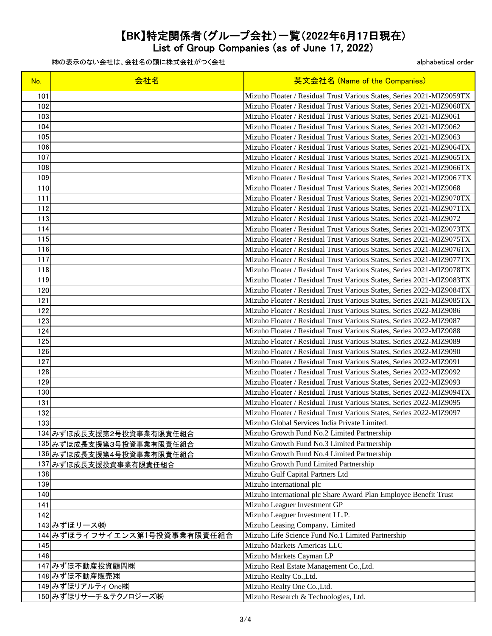List of Group Companies (as of June 17, 2022)

| 101<br>Mizuho Floater / Residual Trust Various States, Series 2021-MIZ9059TX<br>102<br>Mizuho Floater / Residual Trust Various States, Series 2021-MIZ9060TX<br>103<br>Mizuho Floater / Residual Trust Various States, Series 2021-MIZ9061<br>104<br>Mizuho Floater / Residual Trust Various States, Series 2021-MIZ9062<br>105<br>Mizuho Floater / Residual Trust Various States, Series 2021-MIZ9063<br>106<br>Mizuho Floater / Residual Trust Various States, Series 2021-MIZ9064TX<br>107<br>Mizuho Floater / Residual Trust Various States, Series 2021-MIZ9065TX<br>108<br>Mizuho Floater / Residual Trust Various States, Series 2021-MIZ9066TX<br>109<br>Mizuho Floater / Residual Trust Various States, Series 2021-MIZ9067TX<br>110<br>Mizuho Floater / Residual Trust Various States, Series 2021-MIZ9068<br>111<br>Mizuho Floater / Residual Trust Various States, Series 2021-MIZ9070TX<br>112<br>Mizuho Floater / Residual Trust Various States, Series 2021-MIZ9071TX<br>113<br>Mizuho Floater / Residual Trust Various States, Series 2021-MIZ9072<br>114<br>Mizuho Floater / Residual Trust Various States, Series 2021-MIZ9073TX<br>115<br>Mizuho Floater / Residual Trust Various States, Series 2021-MIZ9075TX<br>116<br>Mizuho Floater / Residual Trust Various States, Series 2021-MIZ9076TX<br>117<br>Mizuho Floater / Residual Trust Various States, Series 2021-MIZ9077TX<br>118<br>Mizuho Floater / Residual Trust Various States, Series 2021-MIZ9078TX<br>119<br>Mizuho Floater / Residual Trust Various States, Series 2021-MIZ9083TX<br>120<br>Mizuho Floater / Residual Trust Various States, Series 2022-MIZ9084TX<br>121<br>Mizuho Floater / Residual Trust Various States, Series 2021-MIZ9085TX<br>122<br>Mizuho Floater / Residual Trust Various States, Series 2022-MIZ9086<br>123<br>Mizuho Floater / Residual Trust Various States, Series 2022-MIZ9087 |
|------------------------------------------------------------------------------------------------------------------------------------------------------------------------------------------------------------------------------------------------------------------------------------------------------------------------------------------------------------------------------------------------------------------------------------------------------------------------------------------------------------------------------------------------------------------------------------------------------------------------------------------------------------------------------------------------------------------------------------------------------------------------------------------------------------------------------------------------------------------------------------------------------------------------------------------------------------------------------------------------------------------------------------------------------------------------------------------------------------------------------------------------------------------------------------------------------------------------------------------------------------------------------------------------------------------------------------------------------------------------------------------------------------------------------------------------------------------------------------------------------------------------------------------------------------------------------------------------------------------------------------------------------------------------------------------------------------------------------------------------------------------------------------------------------------------------------------------------------------------------------------------------|
|                                                                                                                                                                                                                                                                                                                                                                                                                                                                                                                                                                                                                                                                                                                                                                                                                                                                                                                                                                                                                                                                                                                                                                                                                                                                                                                                                                                                                                                                                                                                                                                                                                                                                                                                                                                                                                                                                                |
|                                                                                                                                                                                                                                                                                                                                                                                                                                                                                                                                                                                                                                                                                                                                                                                                                                                                                                                                                                                                                                                                                                                                                                                                                                                                                                                                                                                                                                                                                                                                                                                                                                                                                                                                                                                                                                                                                                |
|                                                                                                                                                                                                                                                                                                                                                                                                                                                                                                                                                                                                                                                                                                                                                                                                                                                                                                                                                                                                                                                                                                                                                                                                                                                                                                                                                                                                                                                                                                                                                                                                                                                                                                                                                                                                                                                                                                |
|                                                                                                                                                                                                                                                                                                                                                                                                                                                                                                                                                                                                                                                                                                                                                                                                                                                                                                                                                                                                                                                                                                                                                                                                                                                                                                                                                                                                                                                                                                                                                                                                                                                                                                                                                                                                                                                                                                |
|                                                                                                                                                                                                                                                                                                                                                                                                                                                                                                                                                                                                                                                                                                                                                                                                                                                                                                                                                                                                                                                                                                                                                                                                                                                                                                                                                                                                                                                                                                                                                                                                                                                                                                                                                                                                                                                                                                |
|                                                                                                                                                                                                                                                                                                                                                                                                                                                                                                                                                                                                                                                                                                                                                                                                                                                                                                                                                                                                                                                                                                                                                                                                                                                                                                                                                                                                                                                                                                                                                                                                                                                                                                                                                                                                                                                                                                |
|                                                                                                                                                                                                                                                                                                                                                                                                                                                                                                                                                                                                                                                                                                                                                                                                                                                                                                                                                                                                                                                                                                                                                                                                                                                                                                                                                                                                                                                                                                                                                                                                                                                                                                                                                                                                                                                                                                |
|                                                                                                                                                                                                                                                                                                                                                                                                                                                                                                                                                                                                                                                                                                                                                                                                                                                                                                                                                                                                                                                                                                                                                                                                                                                                                                                                                                                                                                                                                                                                                                                                                                                                                                                                                                                                                                                                                                |
|                                                                                                                                                                                                                                                                                                                                                                                                                                                                                                                                                                                                                                                                                                                                                                                                                                                                                                                                                                                                                                                                                                                                                                                                                                                                                                                                                                                                                                                                                                                                                                                                                                                                                                                                                                                                                                                                                                |
|                                                                                                                                                                                                                                                                                                                                                                                                                                                                                                                                                                                                                                                                                                                                                                                                                                                                                                                                                                                                                                                                                                                                                                                                                                                                                                                                                                                                                                                                                                                                                                                                                                                                                                                                                                                                                                                                                                |
|                                                                                                                                                                                                                                                                                                                                                                                                                                                                                                                                                                                                                                                                                                                                                                                                                                                                                                                                                                                                                                                                                                                                                                                                                                                                                                                                                                                                                                                                                                                                                                                                                                                                                                                                                                                                                                                                                                |
|                                                                                                                                                                                                                                                                                                                                                                                                                                                                                                                                                                                                                                                                                                                                                                                                                                                                                                                                                                                                                                                                                                                                                                                                                                                                                                                                                                                                                                                                                                                                                                                                                                                                                                                                                                                                                                                                                                |
|                                                                                                                                                                                                                                                                                                                                                                                                                                                                                                                                                                                                                                                                                                                                                                                                                                                                                                                                                                                                                                                                                                                                                                                                                                                                                                                                                                                                                                                                                                                                                                                                                                                                                                                                                                                                                                                                                                |
|                                                                                                                                                                                                                                                                                                                                                                                                                                                                                                                                                                                                                                                                                                                                                                                                                                                                                                                                                                                                                                                                                                                                                                                                                                                                                                                                                                                                                                                                                                                                                                                                                                                                                                                                                                                                                                                                                                |
|                                                                                                                                                                                                                                                                                                                                                                                                                                                                                                                                                                                                                                                                                                                                                                                                                                                                                                                                                                                                                                                                                                                                                                                                                                                                                                                                                                                                                                                                                                                                                                                                                                                                                                                                                                                                                                                                                                |
|                                                                                                                                                                                                                                                                                                                                                                                                                                                                                                                                                                                                                                                                                                                                                                                                                                                                                                                                                                                                                                                                                                                                                                                                                                                                                                                                                                                                                                                                                                                                                                                                                                                                                                                                                                                                                                                                                                |
|                                                                                                                                                                                                                                                                                                                                                                                                                                                                                                                                                                                                                                                                                                                                                                                                                                                                                                                                                                                                                                                                                                                                                                                                                                                                                                                                                                                                                                                                                                                                                                                                                                                                                                                                                                                                                                                                                                |
|                                                                                                                                                                                                                                                                                                                                                                                                                                                                                                                                                                                                                                                                                                                                                                                                                                                                                                                                                                                                                                                                                                                                                                                                                                                                                                                                                                                                                                                                                                                                                                                                                                                                                                                                                                                                                                                                                                |
|                                                                                                                                                                                                                                                                                                                                                                                                                                                                                                                                                                                                                                                                                                                                                                                                                                                                                                                                                                                                                                                                                                                                                                                                                                                                                                                                                                                                                                                                                                                                                                                                                                                                                                                                                                                                                                                                                                |
|                                                                                                                                                                                                                                                                                                                                                                                                                                                                                                                                                                                                                                                                                                                                                                                                                                                                                                                                                                                                                                                                                                                                                                                                                                                                                                                                                                                                                                                                                                                                                                                                                                                                                                                                                                                                                                                                                                |
|                                                                                                                                                                                                                                                                                                                                                                                                                                                                                                                                                                                                                                                                                                                                                                                                                                                                                                                                                                                                                                                                                                                                                                                                                                                                                                                                                                                                                                                                                                                                                                                                                                                                                                                                                                                                                                                                                                |
|                                                                                                                                                                                                                                                                                                                                                                                                                                                                                                                                                                                                                                                                                                                                                                                                                                                                                                                                                                                                                                                                                                                                                                                                                                                                                                                                                                                                                                                                                                                                                                                                                                                                                                                                                                                                                                                                                                |
|                                                                                                                                                                                                                                                                                                                                                                                                                                                                                                                                                                                                                                                                                                                                                                                                                                                                                                                                                                                                                                                                                                                                                                                                                                                                                                                                                                                                                                                                                                                                                                                                                                                                                                                                                                                                                                                                                                |
| Mizuho Floater / Residual Trust Various States, Series 2022-MIZ9088<br>124                                                                                                                                                                                                                                                                                                                                                                                                                                                                                                                                                                                                                                                                                                                                                                                                                                                                                                                                                                                                                                                                                                                                                                                                                                                                                                                                                                                                                                                                                                                                                                                                                                                                                                                                                                                                                     |
| 125<br>Mizuho Floater / Residual Trust Various States, Series 2022-MIZ9089                                                                                                                                                                                                                                                                                                                                                                                                                                                                                                                                                                                                                                                                                                                                                                                                                                                                                                                                                                                                                                                                                                                                                                                                                                                                                                                                                                                                                                                                                                                                                                                                                                                                                                                                                                                                                     |
| 126<br>Mizuho Floater / Residual Trust Various States, Series 2022-MIZ9090                                                                                                                                                                                                                                                                                                                                                                                                                                                                                                                                                                                                                                                                                                                                                                                                                                                                                                                                                                                                                                                                                                                                                                                                                                                                                                                                                                                                                                                                                                                                                                                                                                                                                                                                                                                                                     |
| 127<br>Mizuho Floater / Residual Trust Various States, Series 2022-MIZ9091                                                                                                                                                                                                                                                                                                                                                                                                                                                                                                                                                                                                                                                                                                                                                                                                                                                                                                                                                                                                                                                                                                                                                                                                                                                                                                                                                                                                                                                                                                                                                                                                                                                                                                                                                                                                                     |
| 128<br>Mizuho Floater / Residual Trust Various States, Series 2022-MIZ9092                                                                                                                                                                                                                                                                                                                                                                                                                                                                                                                                                                                                                                                                                                                                                                                                                                                                                                                                                                                                                                                                                                                                                                                                                                                                                                                                                                                                                                                                                                                                                                                                                                                                                                                                                                                                                     |
| 129<br>Mizuho Floater / Residual Trust Various States, Series 2022-MIZ9093                                                                                                                                                                                                                                                                                                                                                                                                                                                                                                                                                                                                                                                                                                                                                                                                                                                                                                                                                                                                                                                                                                                                                                                                                                                                                                                                                                                                                                                                                                                                                                                                                                                                                                                                                                                                                     |
| 130<br>Mizuho Floater / Residual Trust Various States, Series 2022-MIZ9094TX                                                                                                                                                                                                                                                                                                                                                                                                                                                                                                                                                                                                                                                                                                                                                                                                                                                                                                                                                                                                                                                                                                                                                                                                                                                                                                                                                                                                                                                                                                                                                                                                                                                                                                                                                                                                                   |
| 131<br>Mizuho Floater / Residual Trust Various States, Series 2022-MIZ9095                                                                                                                                                                                                                                                                                                                                                                                                                                                                                                                                                                                                                                                                                                                                                                                                                                                                                                                                                                                                                                                                                                                                                                                                                                                                                                                                                                                                                                                                                                                                                                                                                                                                                                                                                                                                                     |
| 132<br>Mizuho Floater / Residual Trust Various States, Series 2022-MIZ9097                                                                                                                                                                                                                                                                                                                                                                                                                                                                                                                                                                                                                                                                                                                                                                                                                                                                                                                                                                                                                                                                                                                                                                                                                                                                                                                                                                                                                                                                                                                                                                                                                                                                                                                                                                                                                     |
| Mizuho Global Services India Private Limited.<br>133                                                                                                                                                                                                                                                                                                                                                                                                                                                                                                                                                                                                                                                                                                                                                                                                                                                                                                                                                                                                                                                                                                                                                                                                                                                                                                                                                                                                                                                                                                                                                                                                                                                                                                                                                                                                                                           |
| 134 みずほ成長支援第2号投資事業有限責任組合<br>Mizuho Growth Fund No.2 Limited Partnership                                                                                                                                                                                                                                                                                                                                                                                                                                                                                                                                                                                                                                                                                                                                                                                                                                                                                                                                                                                                                                                                                                                                                                                                                                                                                                                                                                                                                                                                                                                                                                                                                                                                                                                                                                                                                        |
| Mizuho Growth Fund No.3 Limited Partnership<br>135 みずほ成長支援第3号投資事業有限責任組合                                                                                                                                                                                                                                                                                                                                                                                                                                                                                                                                                                                                                                                                                                                                                                                                                                                                                                                                                                                                                                                                                                                                                                                                                                                                                                                                                                                                                                                                                                                                                                                                                                                                                                                                                                                                                        |
| Mizuho Growth Fund No.4 Limited Partnership<br>136 みずほ成長支援第4号投資事業有限責任組合                                                                                                                                                                                                                                                                                                                                                                                                                                                                                                                                                                                                                                                                                                                                                                                                                                                                                                                                                                                                                                                                                                                                                                                                                                                                                                                                                                                                                                                                                                                                                                                                                                                                                                                                                                                                                        |
| Mizuho Growth Fund Limited Partnership<br>137 みずほ成長支援投資事業有限責任組合                                                                                                                                                                                                                                                                                                                                                                                                                                                                                                                                                                                                                                                                                                                                                                                                                                                                                                                                                                                                                                                                                                                                                                                                                                                                                                                                                                                                                                                                                                                                                                                                                                                                                                                                                                                                                                |
| Mizuho Gulf Capital Partners Ltd<br>138                                                                                                                                                                                                                                                                                                                                                                                                                                                                                                                                                                                                                                                                                                                                                                                                                                                                                                                                                                                                                                                                                                                                                                                                                                                                                                                                                                                                                                                                                                                                                                                                                                                                                                                                                                                                                                                        |
| 139<br>Mizuho International plc                                                                                                                                                                                                                                                                                                                                                                                                                                                                                                                                                                                                                                                                                                                                                                                                                                                                                                                                                                                                                                                                                                                                                                                                                                                                                                                                                                                                                                                                                                                                                                                                                                                                                                                                                                                                                                                                |
| 140<br>Mizuho International plc Share Award Plan Employee Benefit Trust                                                                                                                                                                                                                                                                                                                                                                                                                                                                                                                                                                                                                                                                                                                                                                                                                                                                                                                                                                                                                                                                                                                                                                                                                                                                                                                                                                                                                                                                                                                                                                                                                                                                                                                                                                                                                        |
| Mizuho Leaguer Investment GP<br>141                                                                                                                                                                                                                                                                                                                                                                                                                                                                                                                                                                                                                                                                                                                                                                                                                                                                                                                                                                                                                                                                                                                                                                                                                                                                                                                                                                                                                                                                                                                                                                                                                                                                                                                                                                                                                                                            |
| 142<br>Mizuho Leaguer Investment I L.P.                                                                                                                                                                                                                                                                                                                                                                                                                                                                                                                                                                                                                                                                                                                                                                                                                                                                                                                                                                                                                                                                                                                                                                                                                                                                                                                                                                                                                                                                                                                                                                                                                                                                                                                                                                                                                                                        |
| 143 みずほリース(株)<br>Mizuho Leasing Company, Limited                                                                                                                                                                                                                                                                                                                                                                                                                                                                                                                                                                                                                                                                                                                                                                                                                                                                                                                                                                                                                                                                                                                                                                                                                                                                                                                                                                                                                                                                                                                                                                                                                                                                                                                                                                                                                                               |
| 144 みずほライフサイエンス第1号投資事業有限責任組合<br>Mizuho Life Science Fund No.1 Limited Partnership                                                                                                                                                                                                                                                                                                                                                                                                                                                                                                                                                                                                                                                                                                                                                                                                                                                                                                                                                                                                                                                                                                                                                                                                                                                                                                                                                                                                                                                                                                                                                                                                                                                                                                                                                                                                              |
| Mizuho Markets Americas LLC<br>145<br>146                                                                                                                                                                                                                                                                                                                                                                                                                                                                                                                                                                                                                                                                                                                                                                                                                                                                                                                                                                                                                                                                                                                                                                                                                                                                                                                                                                                                                                                                                                                                                                                                                                                                                                                                                                                                                                                      |
| Mizuho Markets Cayman LP                                                                                                                                                                                                                                                                                                                                                                                                                                                                                                                                                                                                                                                                                                                                                                                                                                                                                                                                                                                                                                                                                                                                                                                                                                                                                                                                                                                                                                                                                                                                                                                                                                                                                                                                                                                                                                                                       |
| Mizuho Real Estate Management Co., Ltd.<br>147 みずほ不動産投資顧問㈱<br>Mizuho Realty Co., Ltd.                                                                                                                                                                                                                                                                                                                                                                                                                                                                                                                                                                                                                                                                                                                                                                                                                                                                                                                                                                                                                                                                                                                                                                                                                                                                                                                                                                                                                                                                                                                                                                                                                                                                                                                                                                                                          |
| 148 みずほ不動産販売㈱<br>149 みずほリアルティ One(株)<br>Mizuho Realty One Co., Ltd.                                                                                                                                                                                                                                                                                                                                                                                                                                                                                                                                                                                                                                                                                                                                                                                                                                                                                                                                                                                                                                                                                                                                                                                                                                                                                                                                                                                                                                                                                                                                                                                                                                                                                                                                                                                                                            |
| 150 みずほリサーチ&テクノロジーズ(株)<br>Mizuho Research & Technologies, Ltd.                                                                                                                                                                                                                                                                                                                                                                                                                                                                                                                                                                                                                                                                                                                                                                                                                                                                                                                                                                                                                                                                                                                                                                                                                                                                                                                                                                                                                                                                                                                                                                                                                                                                                                                                                                                                                                 |